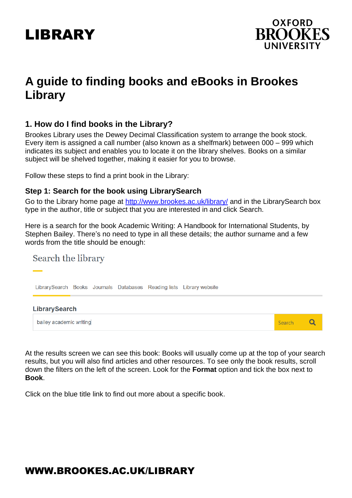



# **A guide to finding books and eBooks in Brookes Library**

#### **1. How do I find books in the Library?**

Brookes Library uses the Dewey Decimal Classification system to arrange the book stock. Every item is assigned a call number (also known as a shelfmark) between 000 – 999 which indicates its subject and enables you to locate it on the library shelves. Books on a similar subject will be shelved together, making it easier for you to browse.

Follow these steps to find a print book in the Library:

#### **Step 1: Search for the book using LibrarySearch**

Go to the Library home page at<http://www.brookes.ac.uk/library/> and in the LibrarySearch box type in the author, title or subject that you are interested in and click Search.

Here is a search for the book Academic Writing: A Handbook for International Students, by Stephen Bailey. There's no need to type in all these details; the author surname and a few words from the title should be enough:

#### Search the library

LibrarySearch Books Journals Databases Reading lists Library website



At the results screen we can see this book: Books will usually come up at the top of your search results, but you will also find articles and other resources. To see only the book results, scroll down the filters on the left of the screen. Look for the **Format** option and tick the box next to **Book**.

Click on the blue title link to find out more about a specific book.

# WWW.BROOKES.AC.UK/LIBRARY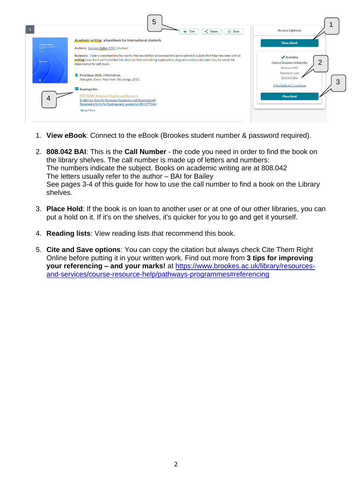

- 1. **View eBook**: Connect to the eBook (Brookes student number & password required).
- 2. **808.042 BAI**: This is the **Call Number** the code you need in order to find the book on the library shelves. The call number is made up of letters and numbers: The numbers indicate the subject. Books on academic writing are at 808.042 The letters usually refer to the author – BAI for Bailey See pages 3-4 of this guide for how to use the call number to find a book on the Library shelves.
- 3. **Place Hold**: If the book is on loan to another user or at one of our other libraries, you can put a hold on it. If it's on the shelves, it's quicker for you to go and get it yourself.
- 4. **Reading lists**: View reading lists that recommend this book.
- 5. **Cite and Save options**: You can copy the citation but always check Cite Them Right Online before putting it in your written work. Find out more from **3 tips for improving your referencing – and your marks!** at [https://www.brookes.ac.uk/library/resources](https://www.brookes.ac.uk/library/resources-and-services/course-resource-help/pathways-programmes#referencing)[and-services/course-resource-help/pathways-programmes#referencing](https://www.brookes.ac.uk/library/resources-and-services/course-resource-help/pathways-programmes#referencing)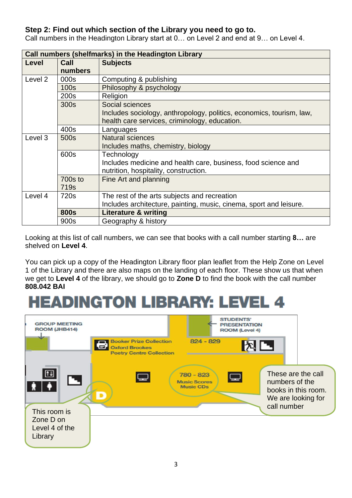#### **Step 2: Find out which section of the Library you need to go to.**

| Call numbers (shelfmarks) in the Headington Library |                  |                                                                      |
|-----------------------------------------------------|------------------|----------------------------------------------------------------------|
| Level                                               | Call             | <b>Subjects</b>                                                      |
|                                                     | numbers          |                                                                      |
| Level 2                                             | 000s             | Computing & publishing                                               |
|                                                     | <b>100s</b>      | Philosophy & psychology                                              |
|                                                     | 200s             | Religion                                                             |
|                                                     | 300s             | Social sciences                                                      |
|                                                     |                  | Includes sociology, anthropology, politics, economics, tourism, law, |
|                                                     |                  | health care services, criminology, education.                        |
|                                                     | 400s             | Languages                                                            |
| Level 3                                             | 500s             | <b>Natural sciences</b>                                              |
|                                                     |                  | Includes maths, chemistry, biology                                   |
|                                                     | 600s             | Technology                                                           |
|                                                     |                  | Includes medicine and health care, business, food science and        |
|                                                     |                  | nutrition, hospitality, construction.                                |
|                                                     | $700s$ to        | Fine Art and planning                                                |
|                                                     | 719 <sub>s</sub> |                                                                      |
| Level 4                                             | 720s             | The rest of the arts subjects and recreation                         |
|                                                     |                  | Includes architecture, painting, music, cinema, sport and leisure.   |
|                                                     | <b>800s</b>      | <b>Literature &amp; writing</b>                                      |
|                                                     | 900s             | Geography & history                                                  |

Call numbers in the Headington Library start at 0… on Level 2 and end at 9… on Level 4.

Looking at this list of call numbers, we can see that books with a call number starting **8…** are shelved on **Level 4**.

You can pick up a copy of the Headington Library floor plan leaflet from the Help Zone on Level 1 of the Library and there are also maps on the landing of each floor. These show us that when we get to **Level 4** of the library, we should go to **Zone D** to find the book with the call number **808.042 BAI**

# **HEADINGTON LIBRARY: LEVEL 4**

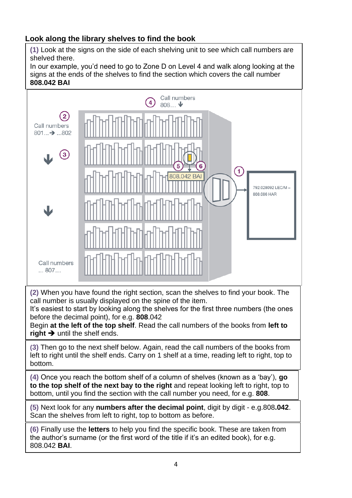### **Look along the library shelves to find the book**

**(1)** Look at the signs on the side of each shelving unit to see which call numbers are shelved there.

In our example, you'd need to go to Zone D on Level 4 and walk along looking at the signs at the ends of the shelves to find the section which covers the call number **808.042 BAI**